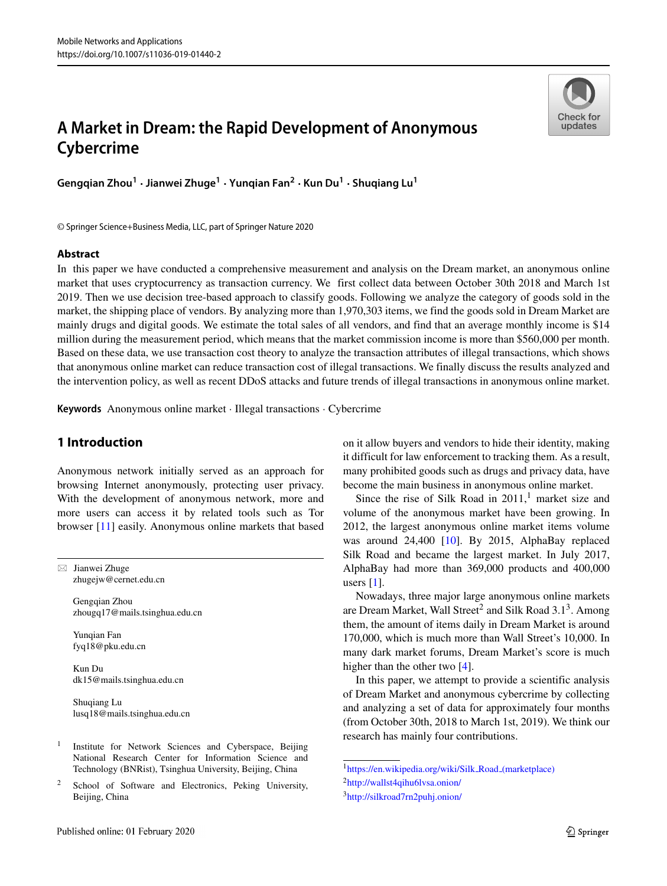# **A Market in Dream: the Rapid Development of Anonymous Cybercrime**

**Gengqian Zhou<sup>1</sup>** · **Jianwei Zhuge<sup>1</sup>** · **Yunqian Fan<sup>2</sup>** · **Kun Du<sup>1</sup>** · **Shuqiang Lu<sup>1</sup>**

© Springer Science+Business Media, LLC, part of Springer Nature 2020

### **Abstract**



In this paper we have conducted a comprehensive measurement and analysis on the Dream market, an anonymous online market that uses cryptocurrency as transaction currency. We first collect data between October 30th 2018 and March 1st 2019. Then we use decision tree-based approach to classify goods. Following we analyze the category of goods sold in the market, the shipping place of vendors. By analyzing more than 1,970,303 items, we find the goods sold in Dream Market are mainly drugs and digital goods. We estimate the total sales of all vendors, and find that an average monthly income is \$14 million during the measurement period, which means that the market commission income is more than \$560,000 per month. Based on these data, we use transaction cost theory to analyze the transaction attributes of illegal transactions, which shows that anonymous online market can reduce transaction cost of illegal transactions. We finally discuss the results analyzed and the intervention policy, as well as recent DDoS attacks and future trends of illegal transactions in anonymous online market.

**Keywords** Anonymous online market · Illegal transactions · Cybercrime

# **1 Introduction**

Anonymous network initially served as an approach for browsing Internet anonymously, protecting user privacy. With the development of anonymous network, more and more users can access it by related tools such as Tor browser [\[11\]](#page-11-0) easily. Anonymous online markets that based

- Jianwei Zhuge [zhugejw@cernet.edu.cn](mailto: zhugejw@cernet.edu.cn)

> Gengqian Zhou [zhougq17@mails.tsinghua.edu.cn](mailto: zhougq17@mails.tsinghua.edu.cn)

Yunqian Fan [fyq18@pku.edu.cn](mailto: fyq18@pku.edu.cn)

Kun Du [dk15@mails.tsinghua.edu.cn](mailto: dk15@mails.tsinghua.edu.cn)

Shuqiang Lu [lusq18@mails.tsinghua.edu.cn](mailto: lusq18@mails.tsinghua.edu.cn)

- 1 Institute for Network Sciences and Cyberspace, Beijing National Research Center for Information Science and Technology (BNRist), Tsinghua University, Beijing, China
- <sup>2</sup> School of Software and Electronics, Peking University, Beijing, China

on it allow buyers and vendors to hide their identity, making it difficult for law enforcement to tracking them. As a result, many prohibited goods such as drugs and privacy data, have become the main business in anonymous online market.

Since the rise of Silk Road in  $2011<sup>1</sup>$  $2011<sup>1</sup>$  $2011<sup>1</sup>$  market size and volume of the anonymous market have been growing. In 2012, the largest anonymous online market items volume was around 24,400 [\[10\]](#page-11-1). By 2015, AlphaBay replaced Silk Road and became the largest market. In July 2017, AlphaBay had more than 369,000 products and 400,000 users  $[1]$ .

Nowadays, three major large anonymous online markets are Dream Market, Wall Street<sup>[2](#page-0-1)</sup> and Silk Road [3](#page-0-2).1<sup>3</sup>. Among them, the amount of items daily in Dream Market is around 170,000, which is much more than Wall Street's 10,000. In many dark market forums, Dream Market's score is much higher than the other two [\[4\]](#page-11-2).

In this paper, we attempt to provide a scientific analysis of Dream Market and anonymous cybercrime by collecting and analyzing a set of data for approximately four months (from October 30th, 2018 to March 1st, 2019). We think our research has mainly four contributions.

<sup>1</sup>[https://en.wikipedia.org/wiki/Silk](https://en.wikipedia.org/wiki/Silk_Road_(marketplace)) Road (marketplace)

<span id="page-0-0"></span><sup>2</sup><http://wallst4qihu6lvsa.onion/>

<span id="page-0-2"></span><span id="page-0-1"></span><sup>3</sup><http://silkroad7rn2puhj.onion/>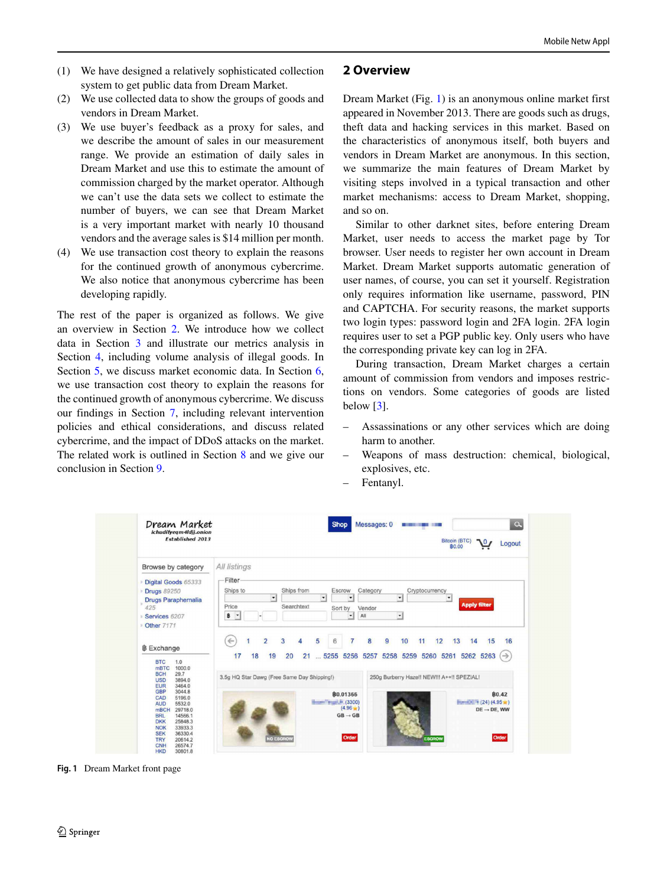- (1) We have designed a relatively sophisticated collection system to get public data from Dream Market.
- (2) We use collected data to show the groups of goods and vendors in Dream Market.
- (3) We use buyer's feedback as a proxy for sales, and we describe the amount of sales in our measurement range. We provide an estimation of daily sales in Dream Market and use this to estimate the amount of commission charged by the market operator. Although we can't use the data sets we collect to estimate the number of buyers, we can see that Dream Market is a very important market with nearly 10 thousand vendors and the average sales is \$14 million per month.
- (4) We use transaction cost theory to explain the reasons for the continued growth of anonymous cybercrime. We also notice that anonymous cybercrime has been developing rapidly.

The rest of the paper is organized as follows. We give an overview in Section [2.](#page-1-0) We introduce how we collect data in Section [3](#page-2-0) and illustrate our metrics analysis in Section [4,](#page-3-0) including volume analysis of illegal goods. In Section [5,](#page-6-0) we discuss market economic data. In Section [6,](#page-8-0) we use transaction cost theory to explain the reasons for the continued growth of anonymous cybercrime. We discuss our findings in Section [7,](#page-9-0) including relevant intervention policies and ethical considerations, and discuss related cybercrime, and the impact of DDoS attacks on the market. The related work is outlined in Section [8](#page-10-1) and we give our conclusion in Section [9.](#page-10-2)

# <span id="page-1-0"></span>**2 Overview**

Dream Market (Fig. [1\)](#page-1-1) is an anonymous online market first appeared in November 2013. There are goods such as drugs, theft data and hacking services in this market. Based on the characteristics of anonymous itself, both buyers and vendors in Dream Market are anonymous. In this section, we summarize the main features of Dream Market by visiting steps involved in a typical transaction and other market mechanisms: access to Dream Market, shopping, and so on.

Similar to other darknet sites, before entering Dream Market, user needs to access the market page by Tor browser. User needs to register her own account in Dream Market. Dream Market supports automatic generation of user names, of course, you can set it yourself. Registration only requires information like username, password, PIN and CAPTCHA. For security reasons, the market supports two login types: password login and 2FA login. 2FA login requires user to set a PGP public key. Only users who have the corresponding private key can log in 2FA.

During transaction, Dream Market charges a certain amount of commission from vendors and imposes restrictions on vendors. Some categories of goods are listed below  $[3]$ .

- Assassinations or any other services which are doing harm to another.
- Weapons of mass destruction: chemical, biological, explosives, etc.
- Fentanyl.

<span id="page-1-1"></span>

**Fig. 1** Dream Market front page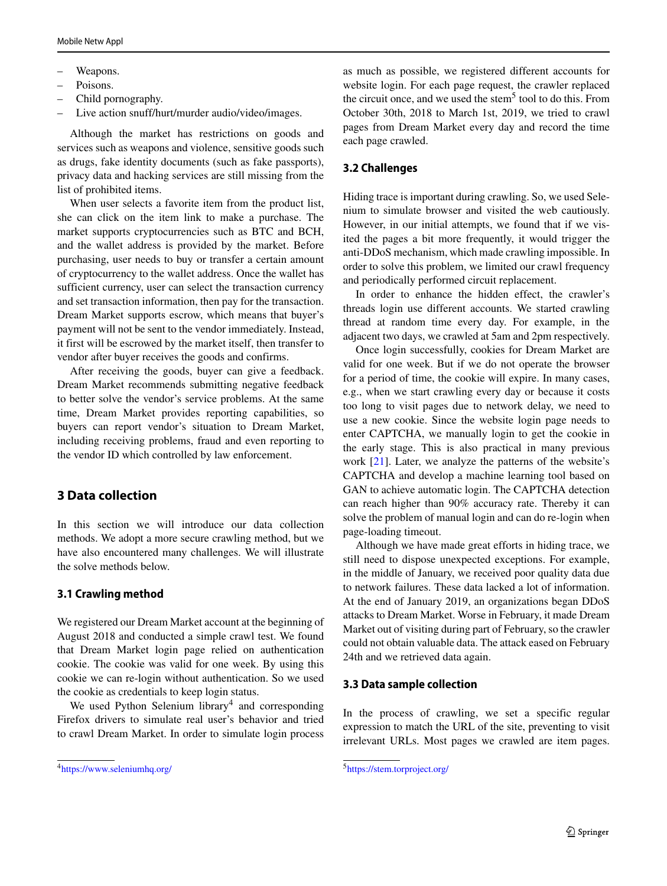- Weapons.
- Poisons.
- Child pornography.
- Live action snuff/hurt/murder audio/video/images.

Although the market has restrictions on goods and services such as weapons and violence, sensitive goods such as drugs, fake identity documents (such as fake passports), privacy data and hacking services are still missing from the list of prohibited items.

When user selects a favorite item from the product list, she can click on the item link to make a purchase. The market supports cryptocurrencies such as BTC and BCH, and the wallet address is provided by the market. Before purchasing, user needs to buy or transfer a certain amount of cryptocurrency to the wallet address. Once the wallet has sufficient currency, user can select the transaction currency and set transaction information, then pay for the transaction. Dream Market supports escrow, which means that buyer's payment will not be sent to the vendor immediately. Instead, it first will be escrowed by the market itself, then transfer to vendor after buyer receives the goods and confirms.

After receiving the goods, buyer can give a feedback. Dream Market recommends submitting negative feedback to better solve the vendor's service problems. At the same time, Dream Market provides reporting capabilities, so buyers can report vendor's situation to Dream Market, including receiving problems, fraud and even reporting to the vendor ID which controlled by law enforcement.

# <span id="page-2-0"></span>**3 Data collection**

In this section we will introduce our data collection methods. We adopt a more secure crawling method, but we have also encountered many challenges. We will illustrate the solve methods below.

# **3.1 Crawling method**

We registered our Dream Market account at the beginning of August 2018 and conducted a simple crawl test. We found that Dream Market login page relied on authentication cookie. The cookie was valid for one week. By using this cookie we can re-login without authentication. So we used the cookie as credentials to keep login status.

We used Python Selenium library<sup>[4](#page-2-1)</sup> and corresponding Firefox drivers to simulate real user's behavior and tried to crawl Dream Market. In order to simulate login process as much as possible, we registered different accounts for website login. For each page request, the crawler replaced the circuit once, and we used the stem<sup>[5](#page-2-2)</sup> tool to do this. From October 30th, 2018 to March 1st, 2019, we tried to crawl pages from Dream Market every day and record the time each page crawled.

### **3.2 Challenges**

Hiding trace is important during crawling. So, we used Selenium to simulate browser and visited the web cautiously. However, in our initial attempts, we found that if we visited the pages a bit more frequently, it would trigger the anti-DDoS mechanism, which made crawling impossible. In order to solve this problem, we limited our crawl frequency and periodically performed circuit replacement.

In order to enhance the hidden effect, the crawler's threads login use different accounts. We started crawling thread at random time every day. For example, in the adjacent two days, we crawled at 5am and 2pm respectively.

Once login successfully, cookies for Dream Market are valid for one week. But if we do not operate the browser for a period of time, the cookie will expire. In many cases, e.g., when we start crawling every day or because it costs too long to visit pages due to network delay, we need to use a new cookie. Since the website login page needs to enter CAPTCHA, we manually login to get the cookie in the early stage. This is also practical in many previous work [\[21\]](#page-11-4). Later, we analyze the patterns of the website's CAPTCHA and develop a machine learning tool based on GAN to achieve automatic login. The CAPTCHA detection can reach higher than 90% accuracy rate. Thereby it can solve the problem of manual login and can do re-login when page-loading timeout.

Although we have made great efforts in hiding trace, we still need to dispose unexpected exceptions. For example, in the middle of January, we received poor quality data due to network failures. These data lacked a lot of information. At the end of January 2019, an organizations began DDoS attacks to Dream Market. Worse in February, it made Dream Market out of visiting during part of February, so the crawler could not obtain valuable data. The attack eased on February 24th and we retrieved data again.

### **3.3 Data sample collection**

In the process of crawling, we set a specific regular expression to match the URL of the site, preventing to visit irrelevant URLs. Most pages we crawled are item pages.

<span id="page-2-1"></span><sup>4</sup><https://www.seleniumhq.org/>

<span id="page-2-2"></span><sup>5</sup><https://stem.torproject.org/>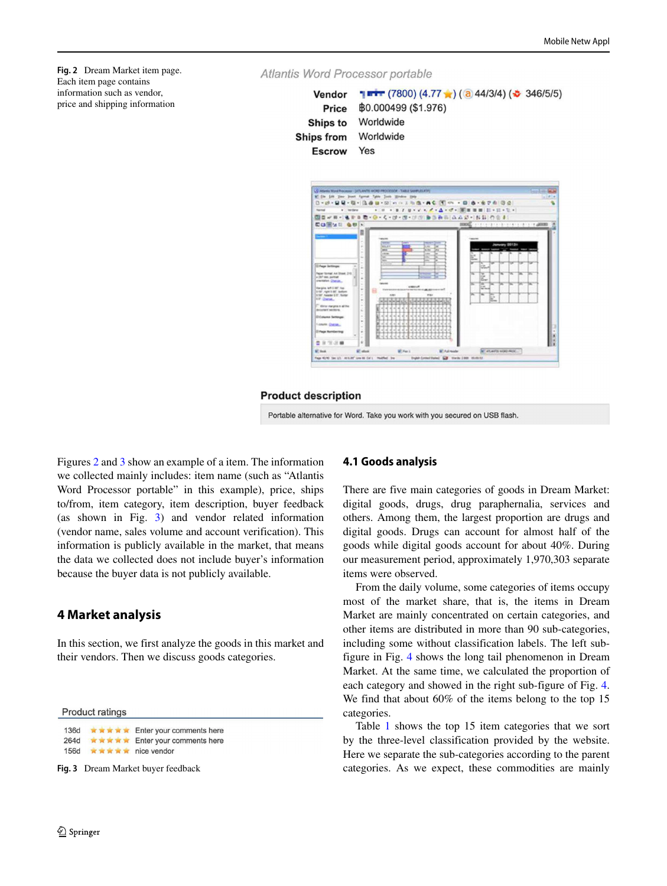<span id="page-3-1"></span>**Fig. 2** Dream Market item page. Each item page contains information such as vendor, price and shipping information

Atlantis Word Processor portable

|                      | Vendor 1 Fr (7800) (4.77 (3) (3) 44/3/4) (3) 346/5/5) |
|----------------------|-------------------------------------------------------|
|                      | Price \$0.000499 (\$1.976)                            |
|                      | Ships to Worldwide                                    |
| Ships from Worldwide |                                                       |
| <b>Escrow</b>        | Yes                                                   |
|                      |                                                       |



### **Product description**

Portable alternative for Word. Take you work with you secured on USB flash.

Figures [2](#page-3-1) and [3](#page-3-2) show an example of a item. The information we collected mainly includes: item name (such as "Atlantis Word Processor portable" in this example), price, ships to/from, item category, item description, buyer feedback (as shown in Fig. [3\)](#page-3-2) and vendor related information (vendor name, sales volume and account verification). This information is publicly available in the market, that means the data we collected does not include buyer's information because the buyer data is not publicly available.

# <span id="page-3-0"></span>**4 Market analysis**

In this section, we first analyze the goods in this market and their vendors. Then we discuss goods categories.

<span id="page-3-2"></span>**Product ratings** 

|      |                                   | 136d <b>x x x x x</b> Enter your comments here |
|------|-----------------------------------|------------------------------------------------|
| 264d |                                   | <b>THE TELL THE SET OF STATE COMMENTS</b> here |
|      | 156d <b>x x x x n</b> nice vendor |                                                |



### **4.1 Goods analysis**

There are five main categories of goods in Dream Market: digital goods, drugs, drug paraphernalia, services and others. Among them, the largest proportion are drugs and digital goods. Drugs can account for almost half of the goods while digital goods account for about 40%. During our measurement period, approximately 1,970,303 separate items were observed.

From the daily volume, some categories of items occupy most of the market share, that is, the items in Dream Market are mainly concentrated on certain categories, and other items are distributed in more than 90 sub-categories, including some without classification labels. The left subfigure in Fig. [4](#page-4-0) shows the long tail phenomenon in Dream Market. At the same time, we calculated the proportion of each category and showed in the right sub-figure of Fig. [4.](#page-4-0) We find that about 60% of the items belong to the top 15 categories.

Table [1](#page-4-1) shows the top 15 item categories that we sort by the three-level classification provided by the website. Here we separate the sub-categories according to the parent categories. As we expect, these commodities are mainly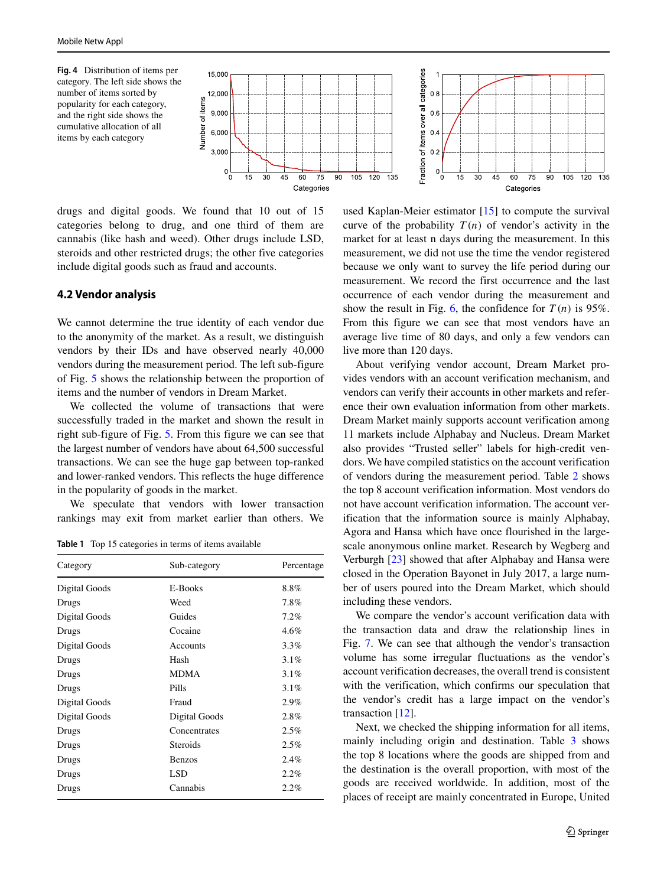<span id="page-4-0"></span>



drugs and digital goods. We found that 10 out of 15 categories belong to drug, and one third of them are cannabis (like hash and weed). Other drugs include LSD, steroids and other restricted drugs; the other five categories include digital goods such as fraud and accounts.

### **4.2 Vendor analysis**

We cannot determine the true identity of each vendor due to the anonymity of the market. As a result, we distinguish vendors by their IDs and have observed nearly 40,000 vendors during the measurement period. The left sub-figure of Fig. [5](#page-5-0) shows the relationship between the proportion of items and the number of vendors in Dream Market.

We collected the volume of transactions that were successfully traded in the market and shown the result in right sub-figure of Fig. [5.](#page-5-0) From this figure we can see that the largest number of vendors have about 64,500 successful transactions. We can see the huge gap between top-ranked and lower-ranked vendors. This reflects the huge difference in the popularity of goods in the market.

We speculate that vendors with lower transaction rankings may exit from market earlier than others. We

<span id="page-4-1"></span>**Table 1** Top 15 categories in terms of items available

| Category      | Sub-category    | Percentage |  |
|---------------|-----------------|------------|--|
| Digital Goods | E-Books         | 8.8%       |  |
| Drugs         | Weed            | 7.8%       |  |
| Digital Goods | Guides          | 7.2%       |  |
| Drugs         | Cocaine         | 4.6%       |  |
| Digital Goods | Accounts        | 3.3%       |  |
| Drugs         | Hash            | 3.1%       |  |
| Drugs         | <b>MDMA</b>     | 3.1%       |  |
| Drugs         | Pills           | 3.1%       |  |
| Digital Goods | Fraud           | 2.9%       |  |
| Digital Goods | Digital Goods   | 2.8%       |  |
| Drugs         | Concentrates    | 2.5%       |  |
| Drugs         | <b>Steroids</b> | $2.5\%$    |  |
| Drugs         | <b>Benzos</b>   | 2.4%       |  |
| Drugs         | LSD             | 2.2%       |  |
| Drugs         | Cannabis        | $2.2\%$    |  |

used Kaplan-Meier estimator [\[15\]](#page-11-5) to compute the survival curve of the probability  $T(n)$  of vendor's activity in the market for at least n days during the measurement. In this measurement, we did not use the time the vendor registered because we only want to survey the life period during our measurement. We record the first occurrence and the last occurrence of each vendor during the measurement and show the result in Fig. [6,](#page-5-1) the confidence for  $T(n)$  is 95%. From this figure we can see that most vendors have an average live time of 80 days, and only a few vendors can live more than 120 days.

About verifying vendor account, Dream Market provides vendors with an account verification mechanism, and vendors can verify their accounts in other markets and reference their own evaluation information from other markets. Dream Market mainly supports account verification among 11 markets include Alphabay and Nucleus. Dream Market also provides "Trusted seller" labels for high-credit vendors. We have compiled statistics on the account verification of vendors during the measurement period. Table [2](#page-5-2) shows the top 8 account verification information. Most vendors do not have account verification information. The account verification that the information source is mainly Alphabay, Agora and Hansa which have once flourished in the largescale anonymous online market. Research by Wegberg and Verburgh [\[23\]](#page-11-6) showed that after Alphabay and Hansa were closed in the Operation Bayonet in July 2017, a large number of users poured into the Dream Market, which should including these vendors.

We compare the vendor's account verification data with the transaction data and draw the relationship lines in Fig. [7.](#page-6-1) We can see that although the vendor's transaction volume has some irregular fluctuations as the vendor's account verification decreases, the overall trend is consistent with the verification, which confirms our speculation that the vendor's credit has a large impact on the vendor's transaction [\[12\]](#page-11-7).

Next, we checked the shipping information for all items, mainly including origin and destination. Table [3](#page-6-2) shows the top 8 locations where the goods are shipped from and the destination is the overall proportion, with most of the goods are received worldwide. In addition, most of the places of receipt are mainly concentrated in Europe, United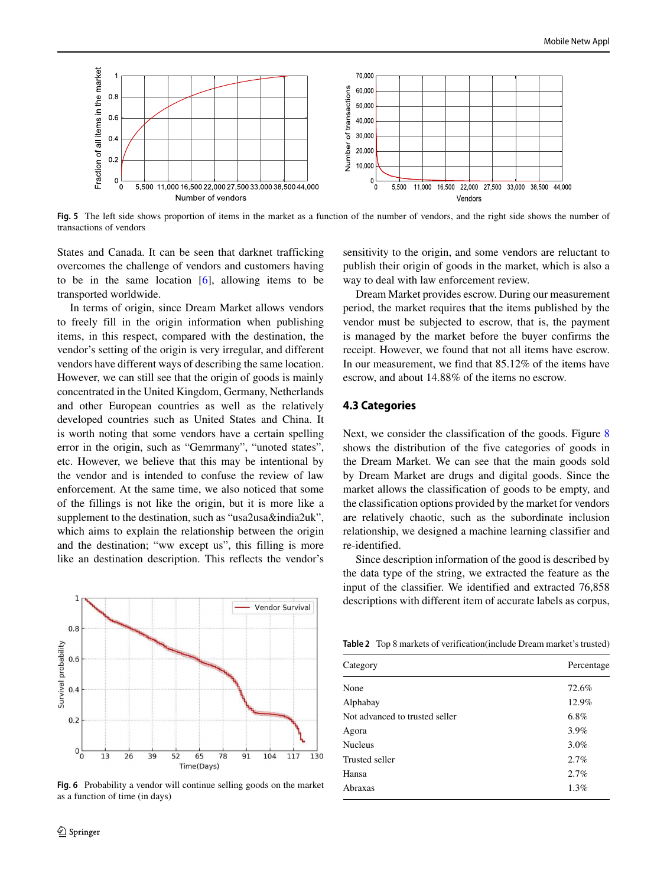<span id="page-5-0"></span>

**Fig. 5** The left side shows proportion of items in the market as a function of the number of vendors, and the right side shows the number of transactions of vendors

States and Canada. It can be seen that darknet trafficking overcomes the challenge of vendors and customers having to be in the same location  $[6]$ , allowing items to be transported worldwide.

In terms of origin, since Dream Market allows vendors to freely fill in the origin information when publishing items, in this respect, compared with the destination, the vendor's setting of the origin is very irregular, and different vendors have different ways of describing the same location. However, we can still see that the origin of goods is mainly concentrated in the United Kingdom, Germany, Netherlands and other European countries as well as the relatively developed countries such as United States and China. It is worth noting that some vendors have a certain spelling error in the origin, such as "Gemrmany", "unoted states", etc. However, we believe that this may be intentional by the vendor and is intended to confuse the review of law enforcement. At the same time, we also noticed that some of the fillings is not like the origin, but it is more like a supplement to the destination, such as "usa2usa&india2uk", which aims to explain the relationship between the origin and the destination; "ww except us", this filling is more like an destination description. This reflects the vendor's

<span id="page-5-1"></span>

**Fig. 6** Probability a vendor will continue selling goods on the market as a function of time (in days)

sensitivity to the origin, and some vendors are reluctant to publish their origin of goods in the market, which is also a way to deal with law enforcement review.

Dream Market provides escrow. During our measurement period, the market requires that the items published by the vendor must be subjected to escrow, that is, the payment is managed by the market before the buyer confirms the receipt. However, we found that not all items have escrow. In our measurement, we find that 85.12% of the items have escrow, and about 14.88% of the items no escrow.

### <span id="page-5-3"></span>**4.3 Categories**

Next, we consider the classification of the goods. Figure [8](#page-7-0) shows the distribution of the five categories of goods in the Dream Market. We can see that the main goods sold by Dream Market are drugs and digital goods. Since the market allows the classification of goods to be empty, and the classification options provided by the market for vendors are relatively chaotic, such as the subordinate inclusion relationship, we designed a machine learning classifier and re-identified.

Since description information of the good is described by the data type of the string, we extracted the feature as the input of the classifier. We identified and extracted 76,858 descriptions with different item of accurate labels as corpus,

<span id="page-5-2"></span>**Table 2** Top 8 markets of verification(include Dream market's trusted)

| Category                       | Percentage |
|--------------------------------|------------|
| None                           | 72.6%      |
| Alphabay                       | 12.9%      |
| Not advanced to trusted seller | $6.8\%$    |
| Agora                          | 3.9%       |
| <b>Nucleus</b>                 | $3.0\%$    |
| Trusted seller                 | 2.7%       |
| Hansa                          | 2.7%       |
| Abraxas                        | $1.3\%$    |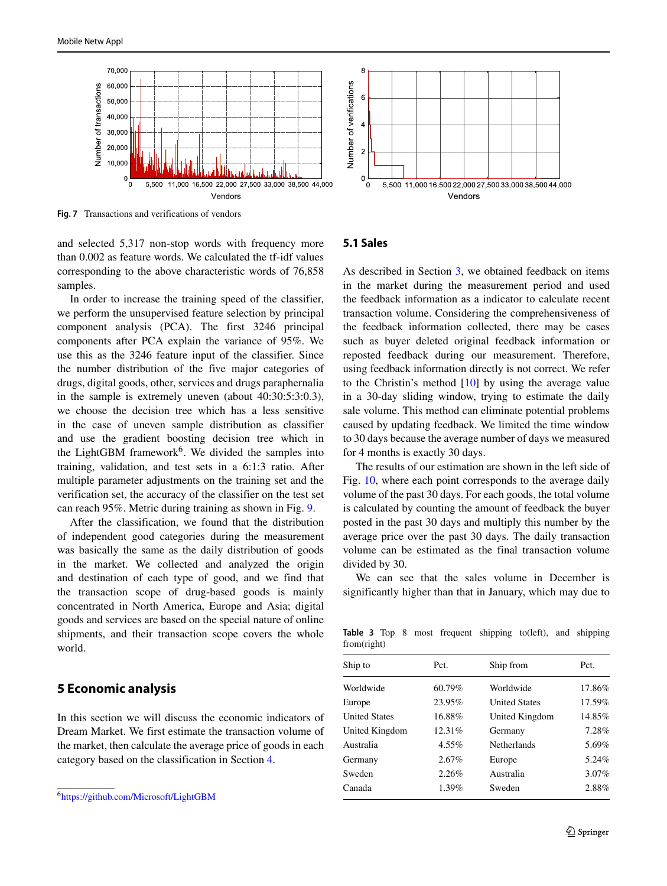<span id="page-6-1"></span>

**Fig. 7** Transactions and verifications of vendors

and selected 5,317 non-stop words with frequency more than 0.002 as feature words. We calculated the tf-idf values corresponding to the above characteristic words of 76,858 samples.

In order to increase the training speed of the classifier, we perform the unsupervised feature selection by principal component analysis (PCA). The first 3246 principal components after PCA explain the variance of 95%. We use this as the 3246 feature input of the classifier. Since the number distribution of the five major categories of drugs, digital goods, other, services and drugs paraphernalia in the sample is extremely uneven (about 40:30:5:3:0.3), we choose the decision tree which has a less sensitive in the case of uneven sample distribution as classifier and use the gradient boosting decision tree which in the LightGBM framework<sup>[6](#page-6-3)</sup>. We divided the samples into training, validation, and test sets in a 6:1:3 ratio. After multiple parameter adjustments on the training set and the verification set, the accuracy of the classifier on the test set can reach 95%. Metric during training as shown in Fig. [9.](#page-7-1)

After the classification, we found that the distribution of independent good categories during the measurement was basically the same as the daily distribution of goods in the market. We collected and analyzed the origin and destination of each type of good, and we find that the transaction scope of drug-based goods is mainly concentrated in North America, Europe and Asia; digital goods and services are based on the special nature of online shipments, and their transaction scope covers the whole world.

# <span id="page-6-0"></span>**5 Economic analysis**

In this section we will discuss the economic indicators of Dream Market. We first estimate the transaction volume of the market, then calculate the average price of goods in each category based on the classification in Section [4.](#page-3-0)

### **5.1 Sales**

As described in Section [3,](#page-2-0) we obtained feedback on items in the market during the measurement period and used the feedback information as a indicator to calculate recent transaction volume. Considering the comprehensiveness of the feedback information collected, there may be cases such as buyer deleted original feedback information or reposted feedback during our measurement. Therefore, using feedback information directly is not correct. We refer to the Christin's method  $[10]$  by using the average value in a 30-day sliding window, trying to estimate the daily sale volume. This method can eliminate potential problems caused by updating feedback. We limited the time window to 30 days because the average number of days we measured for 4 months is exactly 30 days.

The results of our estimation are shown in the left side of Fig. [10,](#page-8-1) where each point corresponds to the average daily volume of the past 30 days. For each goods, the total volume is calculated by counting the amount of feedback the buyer posted in the past 30 days and multiply this number by the average price over the past 30 days. The daily transaction volume can be estimated as the final transaction volume divided by 30.

We can see that the sales volume in December is significantly higher than that in January, which may due to

<span id="page-6-2"></span>**Table 3** Top 8 most frequent shipping to(left), and shipping from(right)

| Ship to              | Pct.   | Ship from            | Pct.   |
|----------------------|--------|----------------------|--------|
| Worldwide            | 60.79% | Worldwide            | 17.86% |
| Europe               | 23.95% | <b>United States</b> | 17.59% |
| <b>United States</b> | 16.88% | United Kingdom       | 14.85% |
| United Kingdom       | 12.31% | Germany              | 7.28%  |
| Australia            | 4.55%  | <b>Netherlands</b>   | 5.69%  |
| Germany              | 2.67%  | Europe               | 5.24%  |
| Sweden               | 2.26%  | Australia            | 3.07%  |
| Canada               | 1.39%  | Sweden               | 2.88%  |
|                      |        |                      |        |



<span id="page-6-3"></span><sup>6</sup><https://github.com/Microsoft/LightGBM>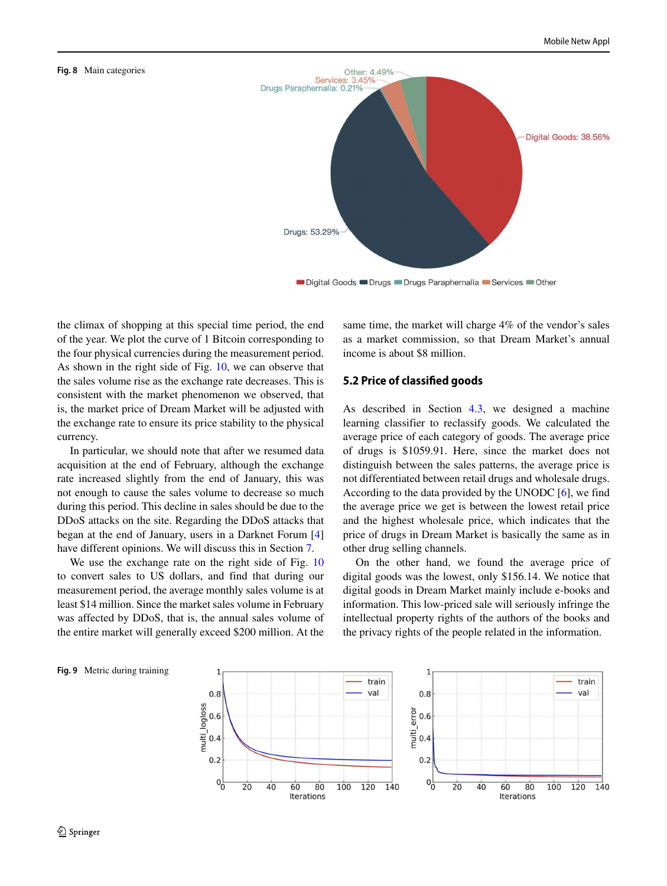#### <span id="page-7-0"></span>**Fig. 8** Main categories



the climax of shopping at this special time period, the end of the year. We plot the curve of 1 Bitcoin corresponding to the four physical currencies during the measurement period. As shown in the right side of Fig. [10,](#page-8-1) we can observe that the sales volume rise as the exchange rate decreases. This is consistent with the market phenomenon we observed, that is, the market price of Dream Market will be adjusted with the exchange rate to ensure its price stability to the physical currency.

In particular, we should note that after we resumed data acquisition at the end of February, although the exchange rate increased slightly from the end of January, this was not enough to cause the sales volume to decrease so much during this period. This decline in sales should be due to the DDoS attacks on the site. Regarding the DDoS attacks that began at the end of January, users in a Darknet Forum [\[4\]](#page-11-2) have different opinions. We will discuss this in Section [7.](#page-9-0)

We use the exchange rate on the right side of Fig. [10](#page-8-1) to convert sales to US dollars, and find that during our measurement period, the average monthly sales volume is at least \$14 million. Since the market sales volume in February was affected by DDoS, that is, the annual sales volume of the entire market will generally exceed \$200 million. At the same time, the market will charge 4% of the vendor's sales as a market commission, so that Dream Market's annual income is about \$8 million.

### **5.2 Price of classified goods**

As described in Section [4.3,](#page-5-3) we designed a machine learning classifier to reclassify goods. We calculated the average price of each category of goods. The average price of drugs is \$1059.91. Here, since the market does not distinguish between the sales patterns, the average price is not differentiated between retail drugs and wholesale drugs. According to the data provided by the UNODC [\[6\]](#page-11-8), we find the average price we get is between the lowest retail price and the highest wholesale price, which indicates that the price of drugs in Dream Market is basically the same as in other drug selling channels.

On the other hand, we found the average price of digital goods was the lowest, only \$156.14. We notice that digital goods in Dream Market mainly include e-books and information. This low-priced sale will seriously infringe the intellectual property rights of the authors of the books and the privacy rights of the people related in the information.

<span id="page-7-1"></span>

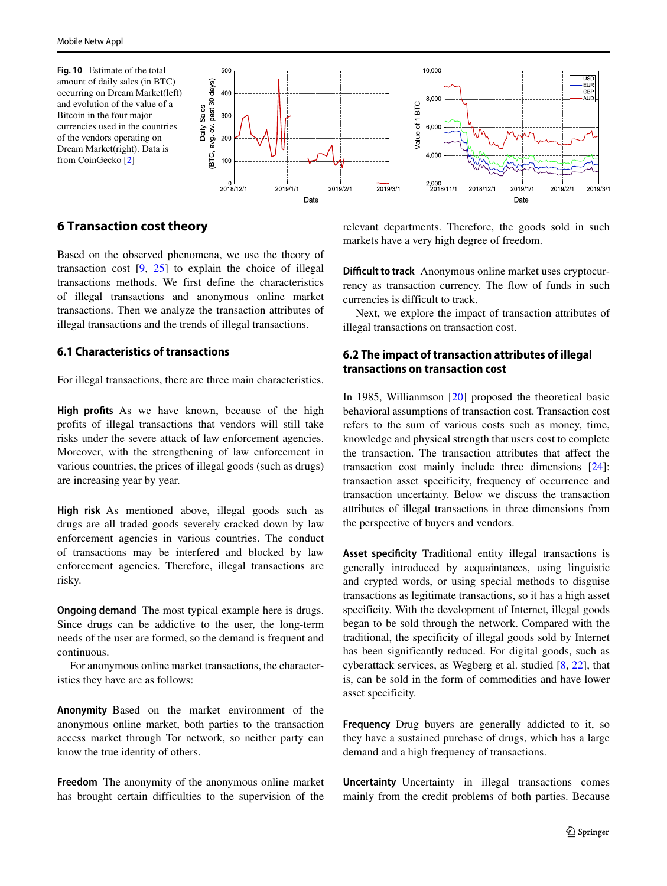<span id="page-8-1"></span>**Fig. 10** Estimate of the total amount of daily sales (in BTC) occurring on Dream Market(left) and evolution of the value of a Bitcoin in the four major currencies used in the countries of the vendors operating on Dream Market(right). Data is from CoinGecko [\[2\]](#page-11-9)



# <span id="page-8-0"></span>**6 Transaction cost theory**

Based on the observed phenomena, we use the theory of transaction cost  $[9, 25]$  $[9, 25]$  to explain the choice of illegal transactions methods. We first define the characteristics of illegal transactions and anonymous online market transactions. Then we analyze the transaction attributes of illegal transactions and the trends of illegal transactions.

# **6.1 Characteristics of transactions**

For illegal transactions, there are three main characteristics.

**High profits** As we have known, because of the high profits of illegal transactions that vendors will still take risks under the severe attack of law enforcement agencies. Moreover, with the strengthening of law enforcement in various countries, the prices of illegal goods (such as drugs) are increasing year by year.

**High risk** As mentioned above, illegal goods such as drugs are all traded goods severely cracked down by law enforcement agencies in various countries. The conduct of transactions may be interfered and blocked by law enforcement agencies. Therefore, illegal transactions are risky.

**Ongoing demand** The most typical example here is drugs. Since drugs can be addictive to the user, the long-term needs of the user are formed, so the demand is frequent and continuous.

For anonymous online market transactions, the characteristics they have are as follows:

**Anonymity** Based on the market environment of the anonymous online market, both parties to the transaction access market through Tor network, so neither party can know the true identity of others.

**Freedom** The anonymity of the anonymous online market has brought certain difficulties to the supervision of the relevant departments. Therefore, the goods sold in such markets have a very high degree of freedom.

**Difficult to track** Anonymous online market uses cryptocurrency as transaction currency. The flow of funds in such currencies is difficult to track.

Next, we explore the impact of transaction attributes of illegal transactions on transaction cost.

# **6.2 The impact of transaction attributes of illegal transactions on transaction cost**

In 1985, Willianmson [\[20\]](#page-11-12) proposed the theoretical basic behavioral assumptions of transaction cost. Transaction cost refers to the sum of various costs such as money, time, knowledge and physical strength that users cost to complete the transaction. The transaction attributes that affect the transaction cost mainly include three dimensions [\[24\]](#page-11-13): transaction asset specificity, frequency of occurrence and transaction uncertainty. Below we discuss the transaction attributes of illegal transactions in three dimensions from the perspective of buyers and vendors.

**Asset specificity** Traditional entity illegal transactions is generally introduced by acquaintances, using linguistic and crypted words, or using special methods to disguise transactions as legitimate transactions, so it has a high asset specificity. With the development of Internet, illegal goods began to be sold through the network. Compared with the traditional, the specificity of illegal goods sold by Internet has been significantly reduced. For digital goods, such as cyberattack services, as Wegberg et al. studied [\[8,](#page-11-14) [22\]](#page-11-15), that is, can be sold in the form of commodities and have lower asset specificity.

**Frequency** Drug buyers are generally addicted to it, so they have a sustained purchase of drugs, which has a large demand and a high frequency of transactions.

**Uncertainty** Uncertainty in illegal transactions comes mainly from the credit problems of both parties. Because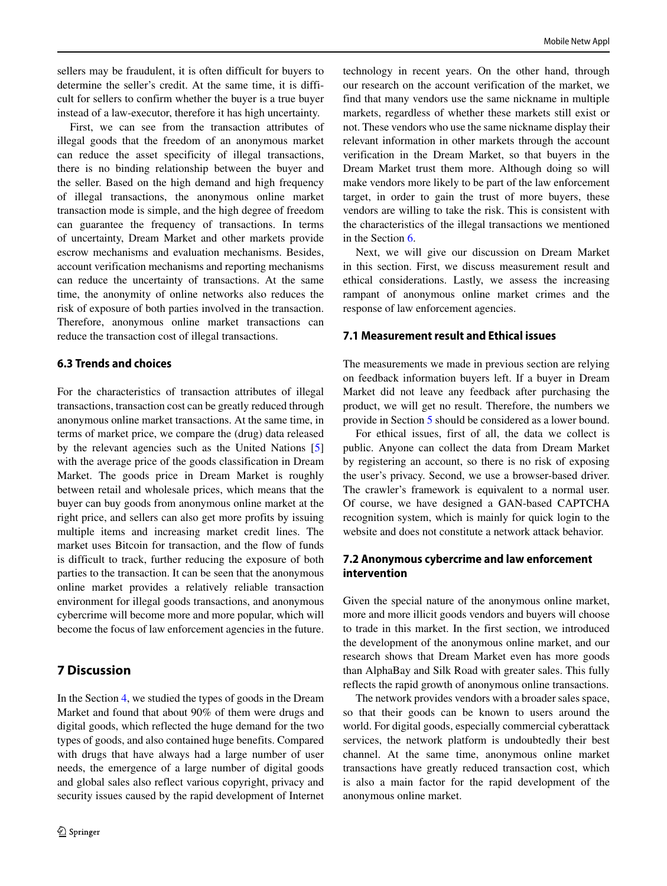sellers may be fraudulent, it is often difficult for buyers to determine the seller's credit. At the same time, it is difficult for sellers to confirm whether the buyer is a true buyer instead of a law-executor, therefore it has high uncertainty.

First, we can see from the transaction attributes of illegal goods that the freedom of an anonymous market can reduce the asset specificity of illegal transactions, there is no binding relationship between the buyer and the seller. Based on the high demand and high frequency of illegal transactions, the anonymous online market transaction mode is simple, and the high degree of freedom can guarantee the frequency of transactions. In terms of uncertainty, Dream Market and other markets provide escrow mechanisms and evaluation mechanisms. Besides, account verification mechanisms and reporting mechanisms can reduce the uncertainty of transactions. At the same time, the anonymity of online networks also reduces the risk of exposure of both parties involved in the transaction. Therefore, anonymous online market transactions can reduce the transaction cost of illegal transactions.

# **6.3 Trends and choices**

For the characteristics of transaction attributes of illegal transactions, transaction cost can be greatly reduced through anonymous online market transactions. At the same time, in terms of market price, we compare the (drug) data released by the relevant agencies such as the United Nations [\[5\]](#page-11-16) with the average price of the goods classification in Dream Market. The goods price in Dream Market is roughly between retail and wholesale prices, which means that the buyer can buy goods from anonymous online market at the right price, and sellers can also get more profits by issuing multiple items and increasing market credit lines. The market uses Bitcoin for transaction, and the flow of funds is difficult to track, further reducing the exposure of both parties to the transaction. It can be seen that the anonymous online market provides a relatively reliable transaction environment for illegal goods transactions, and anonymous cybercrime will become more and more popular, which will become the focus of law enforcement agencies in the future.

# <span id="page-9-0"></span>**7 Discussion**

In the Section [4,](#page-3-0) we studied the types of goods in the Dream Market and found that about 90% of them were drugs and digital goods, which reflected the huge demand for the two types of goods, and also contained huge benefits. Compared with drugs that have always had a large number of user needs, the emergence of a large number of digital goods and global sales also reflect various copyright, privacy and security issues caused by the rapid development of Internet technology in recent years. On the other hand, through our research on the account verification of the market, we find that many vendors use the same nickname in multiple markets, regardless of whether these markets still exist or not. These vendors who use the same nickname display their relevant information in other markets through the account verification in the Dream Market, so that buyers in the Dream Market trust them more. Although doing so will make vendors more likely to be part of the law enforcement target, in order to gain the trust of more buyers, these vendors are willing to take the risk. This is consistent with the characteristics of the illegal transactions we mentioned in the Section [6.](#page-8-0)

Next, we will give our discussion on Dream Market in this section. First, we discuss measurement result and ethical considerations. Lastly, we assess the increasing rampant of anonymous online market crimes and the response of law enforcement agencies.

### **7.1 Measurement result and Ethical issues**

The measurements we made in previous section are relying on feedback information buyers left. If a buyer in Dream Market did not leave any feedback after purchasing the product, we will get no result. Therefore, the numbers we provide in Section [5](#page-6-0) should be considered as a lower bound.

For ethical issues, first of all, the data we collect is public. Anyone can collect the data from Dream Market by registering an account, so there is no risk of exposing the user's privacy. Second, we use a browser-based driver. The crawler's framework is equivalent to a normal user. Of course, we have designed a GAN-based CAPTCHA recognition system, which is mainly for quick login to the website and does not constitute a network attack behavior.

# **7.2 Anonymous cybercrime and law enforcement intervention**

Given the special nature of the anonymous online market, more and more illicit goods vendors and buyers will choose to trade in this market. In the first section, we introduced the development of the anonymous online market, and our research shows that Dream Market even has more goods than AlphaBay and Silk Road with greater sales. This fully reflects the rapid growth of anonymous online transactions.

The network provides vendors with a broader sales space, so that their goods can be known to users around the world. For digital goods, especially commercial cyberattack services, the network platform is undoubtedly their best channel. At the same time, anonymous online market transactions have greatly reduced transaction cost, which is also a main factor for the rapid development of the anonymous online market.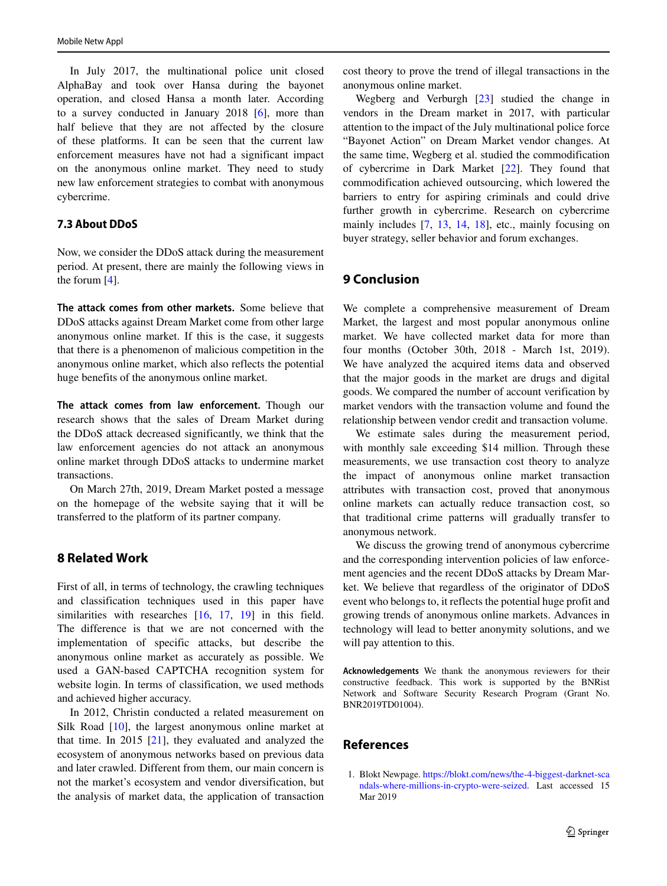In July 2017, the multinational police unit closed AlphaBay and took over Hansa during the bayonet operation, and closed Hansa a month later. According to a survey conducted in January 2018 [\[6\]](#page-11-8), more than half believe that they are not affected by the closure of these platforms. It can be seen that the current law enforcement measures have not had a significant impact on the anonymous online market. They need to study new law enforcement strategies to combat with anonymous cybercrime.

# **7.3 About DDoS**

Now, we consider the DDoS attack during the measurement period. At present, there are mainly the following views in the forum [\[4\]](#page-11-2).

**The attack comes from other markets.** Some believe that DDoS attacks against Dream Market come from other large anonymous online market. If this is the case, it suggests that there is a phenomenon of malicious competition in the anonymous online market, which also reflects the potential huge benefits of the anonymous online market.

**The attack comes from law enforcement.** Though our research shows that the sales of Dream Market during the DDoS attack decreased significantly, we think that the law enforcement agencies do not attack an anonymous online market through DDoS attacks to undermine market transactions.

On March 27th, 2019, Dream Market posted a message on the homepage of the website saying that it will be transferred to the platform of its partner company.

# <span id="page-10-1"></span>**8 Related Work**

First of all, in terms of technology, the crawling techniques and classification techniques used in this paper have similarities with researches [\[16,](#page-11-17) [17,](#page-11-18) [19\]](#page-11-19) in this field. The difference is that we are not concerned with the implementation of specific attacks, but describe the anonymous online market as accurately as possible. We used a GAN-based CAPTCHA recognition system for website login. In terms of classification, we used methods and achieved higher accuracy.

In 2012, Christin conducted a related measurement on Silk Road [\[10\]](#page-11-1), the largest anonymous online market at that time. In 2015  $[21]$ , they evaluated and analyzed the ecosystem of anonymous networks based on previous data and later crawled. Different from them, our main concern is not the market's ecosystem and vendor diversification, but the analysis of market data, the application of transaction cost theory to prove the trend of illegal transactions in the anonymous online market.

Wegberg and Verburgh [\[23\]](#page-11-6) studied the change in vendors in the Dream market in 2017, with particular attention to the impact of the July multinational police force "Bayonet Action" on Dream Market vendor changes. At the same time, Wegberg et al. studied the commodification of cybercrime in Dark Market [\[22\]](#page-11-15). They found that commodification achieved outsourcing, which lowered the barriers to entry for aspiring criminals and could drive further growth in cybercrime. Research on cybercrime mainly includes [\[7,](#page-11-20) [13,](#page-11-21) [14,](#page-11-22) [18\]](#page-11-23), etc., mainly focusing on buyer strategy, seller behavior and forum exchanges.

# <span id="page-10-2"></span>**9 Conclusion**

We complete a comprehensive measurement of Dream Market, the largest and most popular anonymous online market. We have collected market data for more than four months (October 30th, 2018 - March 1st, 2019). We have analyzed the acquired items data and observed that the major goods in the market are drugs and digital goods. We compared the number of account verification by market vendors with the transaction volume and found the relationship between vendor credit and transaction volume.

We estimate sales during the measurement period, with monthly sale exceeding \$14 million. Through these measurements, we use transaction cost theory to analyze the impact of anonymous online market transaction attributes with transaction cost, proved that anonymous online markets can actually reduce transaction cost, so that traditional crime patterns will gradually transfer to anonymous network.

We discuss the growing trend of anonymous cybercrime and the corresponding intervention policies of law enforcement agencies and the recent DDoS attacks by Dream Market. We believe that regardless of the originator of DDoS event who belongs to, it reflects the potential huge profit and growing trends of anonymous online markets. Advances in technology will lead to better anonymity solutions, and we will pay attention to this.

**Acknowledgements** We thank the anonymous reviewers for their constructive feedback. This work is supported by the BNRist Network and Software Security Research Program (Grant No. BNR2019TD01004).

# **References**

<span id="page-10-0"></span>1. Blokt Newpage. [https://blokt.com/news/the-4-biggest-darknet-sca](https://blokt.com/news/the-4-biggest-darknet-scandals-where-millions-in-crypto-were-seized) [ndals-where-millions-in-crypto-were-seized.](https://blokt.com/news/the-4-biggest-darknet-scandals-where-m illions-in-crypto-were-seized) Last accessed 15 Mar 2019